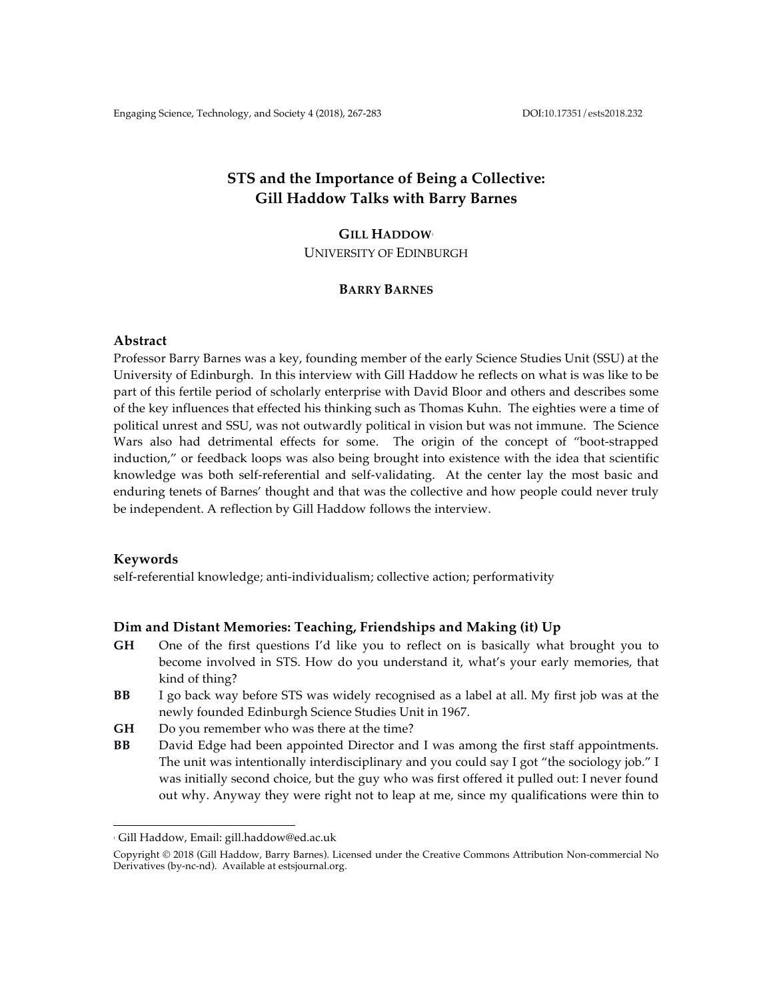# **STS and the Importance of Being a Collective: Gill Haddow Talks with Barry Barnes**

#### **GILL HADDOW**<sup>1</sup>

UNIVERSITY OF EDINBURGH

# **BARRY BARNES**

## **Abstract**

Professor Barry Barnes was a key, founding member of the early Science Studies Unit (SSU) at the University of Edinburgh. In this interview with Gill Haddow he reflects on what is was like to be part of this fertile period of scholarly enterprise with David Bloor and others and describes some of the key influences that effected his thinking such as Thomas Kuhn. The eighties were a time of political unrest and SSU, was not outwardly political in vision but was not immune. The Science Wars also had detrimental effects for some. The origin of the concept of "boot-strapped induction," or feedback loops was also being brought into existence with the idea that scientific knowledge was both self-referential and self-validating. At the center lay the most basic and enduring tenets of Barnes' thought and that was the collective and how people could never truly be independent. A reflection by Gill Haddow follows the interview.

#### **Keywords**

self-referential knowledge; anti-individualism; collective action; performativity

# **Dim and Distant Memories: Teaching, Friendships and Making (it) Up**

- **GH** One of the first questions I'd like you to reflect on is basically what brought you to become involved in STS. How do you understand it, what's your early memories, that kind of thing?
- **BB** I go back way before STS was widely recognised as a label at all. My first job was at the newly founded Edinburgh Science Studies Unit in 1967.
- **GH** Do you remember who was there at the time?
- **BB** David Edge had been appointed Director and I was among the first staff appointments. The unit was intentionally interdisciplinary and you could say I got "the sociology job." I was initially second choice, but the guy who was first offered it pulled out: I never found out why. Anyway they were right not to leap at me, since my qualifications were thin to

 

<sup>1</sup> Gill Haddow, Email: gill.haddow@ed.ac.uk

Copyright © 2018 (Gill Haddow, Barry Barnes). Licensed under the Creative Commons Attribution Non-commercial No Derivatives (by-nc-nd). Available at estsjournal.org.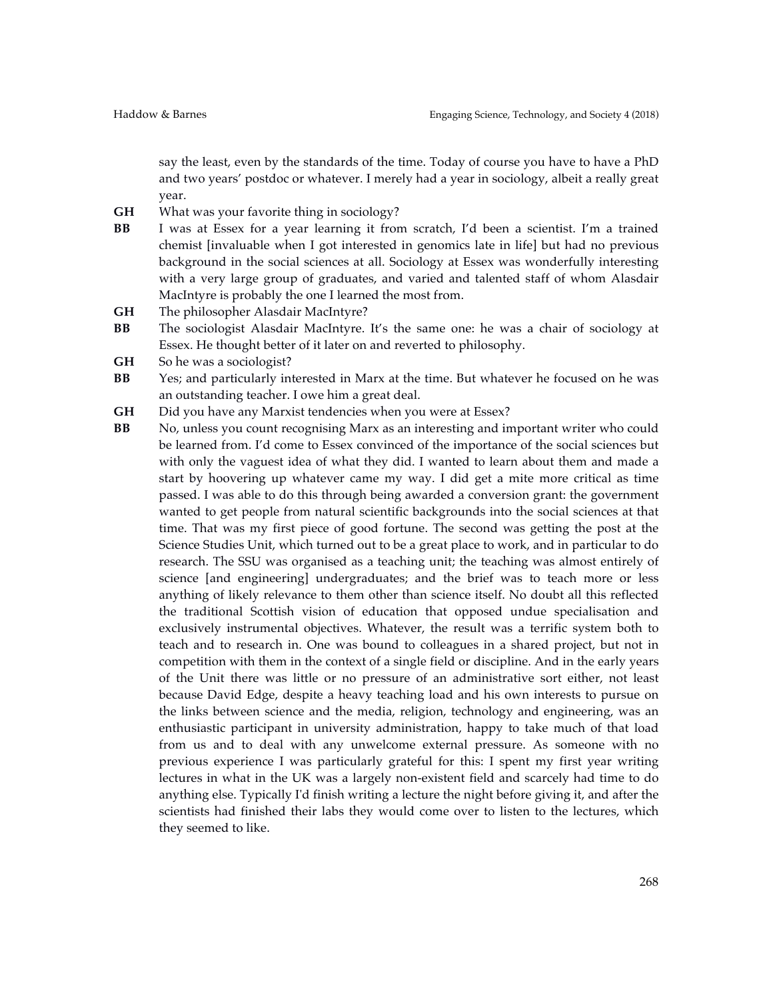say the least, even by the standards of the time. Today of course you have to have a PhD and two years' postdoc or whatever. I merely had a year in sociology, albeit a really great year.

- **GH** What was your favorite thing in sociology?
- **BB** I was at Essex for a year learning it from scratch, I'd been a scientist. I'm a trained chemist [invaluable when I got interested in genomics late in life] but had no previous background in the social sciences at all. Sociology at Essex was wonderfully interesting with a very large group of graduates, and varied and talented staff of whom Alasdair MacIntyre is probably the one I learned the most from.
- **GH** The philosopher Alasdair MacIntyre?
- **BB** The sociologist Alasdair MacIntyre. It's the same one: he was a chair of sociology at Essex. He thought better of it later on and reverted to philosophy.
- GH So he was a sociologist?
- **BB** Yes; and particularly interested in Marx at the time. But whatever he focused on he was an outstanding teacher. I owe him a great deal.
- **GH** Did you have any Marxist tendencies when you were at Essex?
- **BB** No, unless you count recognising Marx as an interesting and important writer who could be learned from. I'd come to Essex convinced of the importance of the social sciences but with only the vaguest idea of what they did. I wanted to learn about them and made a start by hoovering up whatever came my way. I did get a mite more critical as time passed. I was able to do this through being awarded a conversion grant: the government wanted to get people from natural scientific backgrounds into the social sciences at that time. That was my first piece of good fortune. The second was getting the post at the Science Studies Unit, which turned out to be a great place to work, and in particular to do research. The SSU was organised as a teaching unit; the teaching was almost entirely of science [and engineering] undergraduates; and the brief was to teach more or less anything of likely relevance to them other than science itself. No doubt all this reflected the traditional Scottish vision of education that opposed undue specialisation and exclusively instrumental objectives. Whatever, the result was a terrific system both to teach and to research in. One was bound to colleagues in a shared project, but not in competition with them in the context of a single field or discipline. And in the early years of the Unit there was little or no pressure of an administrative sort either, not least because David Edge, despite a heavy teaching load and his own interests to pursue on the links between science and the media, religion, technology and engineering, was an enthusiastic participant in university administration, happy to take much of that load from us and to deal with any unwelcome external pressure. As someone with no previous experience I was particularly grateful for this: I spent my first year writing lectures in what in the UK was a largely non-existent field and scarcely had time to do anything else. Typically I'd finish writing a lecture the night before giving it, and after the scientists had finished their labs they would come over to listen to the lectures, which they seemed to like.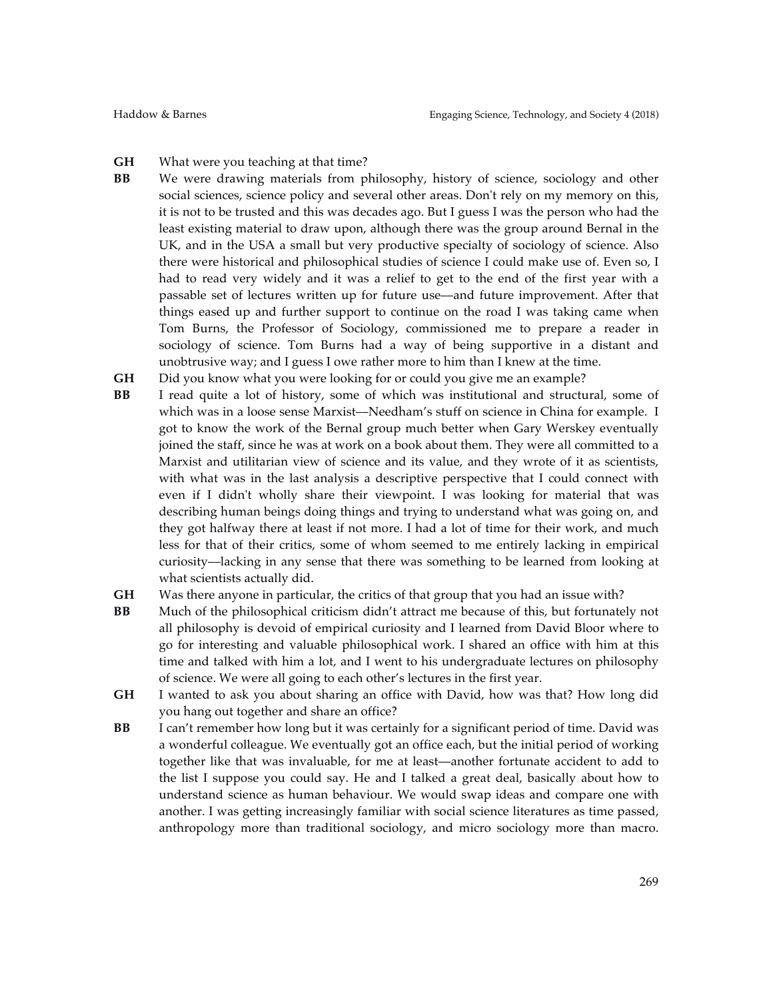**GH** What were you teaching at that time?

- **BB** We were drawing materials from philosophy, history of science, sociology and other social sciences, science policy and several other areas. Don't rely on my memory on this, it is not to be trusted and this was decades ago. But I guess I was the person who had the least existing material to draw upon, although there was the group around Bernal in the UK, and in the USA a small but very productive specialty of sociology of science. Also there were historical and philosophical studies of science I could make use of. Even so, I had to read very widely and it was a relief to get to the end of the first year with a passable set of lectures written up for future use––and future improvement. After that things eased up and further support to continue on the road I was taking came when Tom Burns, the Professor of Sociology, commissioned me to prepare a reader in sociology of science. Tom Burns had a way of being supportive in a distant and unobtrusive way; and I guess I owe rather more to him than I knew at the time.
- **GH** Did you know what you were looking for or could you give me an example?
- **BB** I read quite a lot of history, some of which was institutional and structural, some of which was in a loose sense Marxist—Needham's stuff on science in China for example. I got to know the work of the Bernal group much better when Gary Werskey eventually joined the staff, since he was at work on a book about them. They were all committed to a Marxist and utilitarian view of science and its value, and they wrote of it as scientists, with what was in the last analysis a descriptive perspective that I could connect with even if I didn't wholly share their viewpoint. I was looking for material that was describing human beings doing things and trying to understand what was going on, and they got halfway there at least if not more. I had a lot of time for their work, and much less for that of their critics, some of whom seemed to me entirely lacking in empirical curiosity––lacking in any sense that there was something to be learned from looking at what scientists actually did.
- **GH** Was there anyone in particular, the critics of that group that you had an issue with?
- **BB** Much of the philosophical criticism didn't attract me because of this, but fortunately not all philosophy is devoid of empirical curiosity and I learned from David Bloor where to go for interesting and valuable philosophical work. I shared an office with him at this time and talked with him a lot, and I went to his undergraduate lectures on philosophy of science. We were all going to each other's lectures in the first year.
- **GH** I wanted to ask you about sharing an office with David, how was that? How long did you hang out together and share an office?
- **BB** I can't remember how long but it was certainly for a significant period of time. David was a wonderful colleague. We eventually got an office each, but the initial period of working together like that was invaluable, for me at least––another fortunate accident to add to the list I suppose you could say. He and I talked a great deal, basically about how to understand science as human behaviour. We would swap ideas and compare one with another. I was getting increasingly familiar with social science literatures as time passed, anthropology more than traditional sociology, and micro sociology more than macro.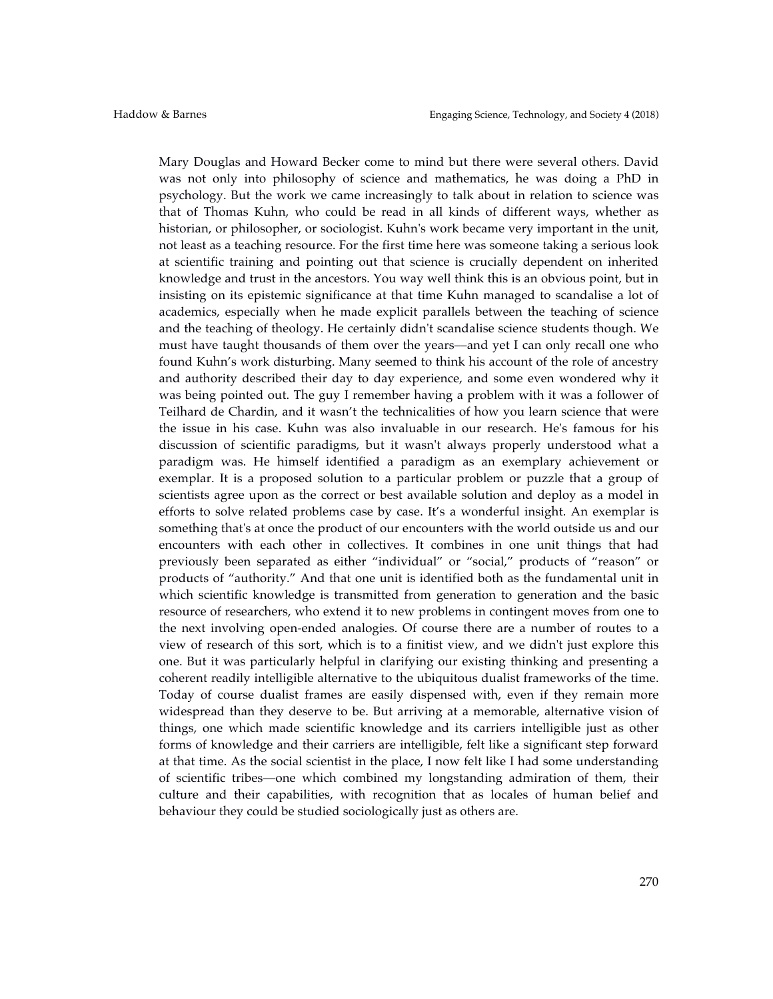Mary Douglas and Howard Becker come to mind but there were several others. David was not only into philosophy of science and mathematics, he was doing a PhD in psychology. But the work we came increasingly to talk about in relation to science was that of Thomas Kuhn, who could be read in all kinds of different ways, whether as historian, or philosopher, or sociologist. Kuhn's work became very important in the unit, not least as a teaching resource. For the first time here was someone taking a serious look at scientific training and pointing out that science is crucially dependent on inherited knowledge and trust in the ancestors. You way well think this is an obvious point, but in insisting on its epistemic significance at that time Kuhn managed to scandalise a lot of academics, especially when he made explicit parallels between the teaching of science and the teaching of theology. He certainly didn't scandalise science students though. We must have taught thousands of them over the years––and yet I can only recall one who found Kuhn's work disturbing. Many seemed to think his account of the role of ancestry and authority described their day to day experience, and some even wondered why it was being pointed out. The guy I remember having a problem with it was a follower of Teilhard de Chardin, and it wasn't the technicalities of how you learn science that were the issue in his case. Kuhn was also invaluable in our research. He's famous for his discussion of scientific paradigms, but it wasn't always properly understood what a paradigm was. He himself identified a paradigm as an exemplary achievement or exemplar. It is a proposed solution to a particular problem or puzzle that a group of scientists agree upon as the correct or best available solution and deploy as a model in efforts to solve related problems case by case. It's a wonderful insight. An exemplar is something that's at once the product of our encounters with the world outside us and our encounters with each other in collectives. It combines in one unit things that had previously been separated as either "individual" or "social," products of "reason" or products of "authority." And that one unit is identified both as the fundamental unit in which scientific knowledge is transmitted from generation to generation and the basic resource of researchers, who extend it to new problems in contingent moves from one to the next involving open-ended analogies. Of course there are a number of routes to a view of research of this sort, which is to a finitist view, and we didn't just explore this one. But it was particularly helpful in clarifying our existing thinking and presenting a coherent readily intelligible alternative to the ubiquitous dualist frameworks of the time. Today of course dualist frames are easily dispensed with, even if they remain more widespread than they deserve to be. But arriving at a memorable, alternative vision of things, one which made scientific knowledge and its carriers intelligible just as other forms of knowledge and their carriers are intelligible, felt like a significant step forward at that time. As the social scientist in the place, I now felt like I had some understanding of scientific tribes––one which combined my longstanding admiration of them, their culture and their capabilities, with recognition that as locales of human belief and behaviour they could be studied sociologically just as others are.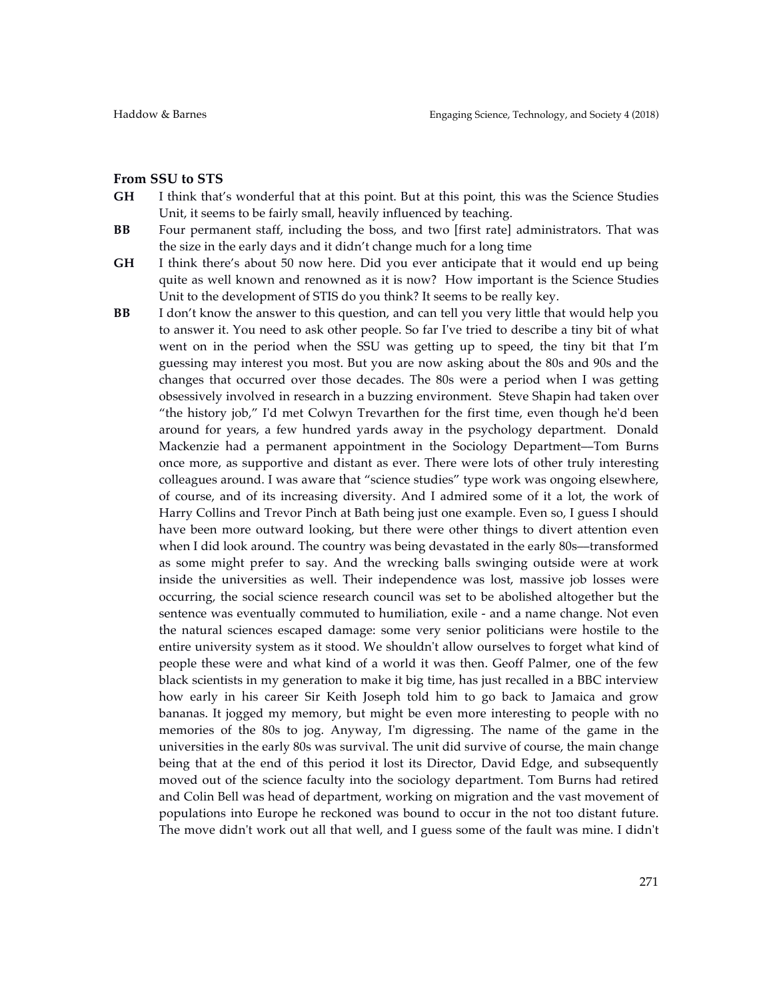#### **From SSU to STS**

- **GH** I think that's wonderful that at this point. But at this point, this was the Science Studies Unit, it seems to be fairly small, heavily influenced by teaching.
- **BB** Four permanent staff, including the boss, and two [first rate] administrators. That was the size in the early days and it didn't change much for a long time
- **GH** I think there's about 50 now here. Did you ever anticipate that it would end up being quite as well known and renowned as it is now? How important is the Science Studies Unit to the development of STIS do you think? It seems to be really key.
- **BB** I don't know the answer to this question, and can tell you very little that would help you to answer it. You need to ask other people. So far I've tried to describe a tiny bit of what went on in the period when the SSU was getting up to speed, the tiny bit that I'm guessing may interest you most. But you are now asking about the 80s and 90s and the changes that occurred over those decades. The 80s were a period when I was getting obsessively involved in research in a buzzing environment. Steve Shapin had taken over "the history job," I'd met Colwyn Trevarthen for the first time, even though he'd been around for years, a few hundred yards away in the psychology department. Donald Mackenzie had a permanent appointment in the Sociology Department––Tom Burns once more, as supportive and distant as ever. There were lots of other truly interesting colleagues around. I was aware that "science studies" type work was ongoing elsewhere, of course, and of its increasing diversity. And I admired some of it a lot, the work of Harry Collins and Trevor Pinch at Bath being just one example. Even so, I guess I should have been more outward looking, but there were other things to divert attention even when I did look around. The country was being devastated in the early 80s—transformed as some might prefer to say. And the wrecking balls swinging outside were at work inside the universities as well. Their independence was lost, massive job losses were occurring, the social science research council was set to be abolished altogether but the sentence was eventually commuted to humiliation, exile - and a name change. Not even the natural sciences escaped damage: some very senior politicians were hostile to the entire university system as it stood. We shouldn't allow ourselves to forget what kind of people these were and what kind of a world it was then. Geoff Palmer, one of the few black scientists in my generation to make it big time, has just recalled in a BBC interview how early in his career Sir Keith Joseph told him to go back to Jamaica and grow bananas. It jogged my memory, but might be even more interesting to people with no memories of the 80s to jog. Anyway, I'm digressing. The name of the game in the universities in the early 80s was survival. The unit did survive of course, the main change being that at the end of this period it lost its Director, David Edge, and subsequently moved out of the science faculty into the sociology department. Tom Burns had retired and Colin Bell was head of department, working on migration and the vast movement of populations into Europe he reckoned was bound to occur in the not too distant future. The move didn't work out all that well, and I guess some of the fault was mine. I didn't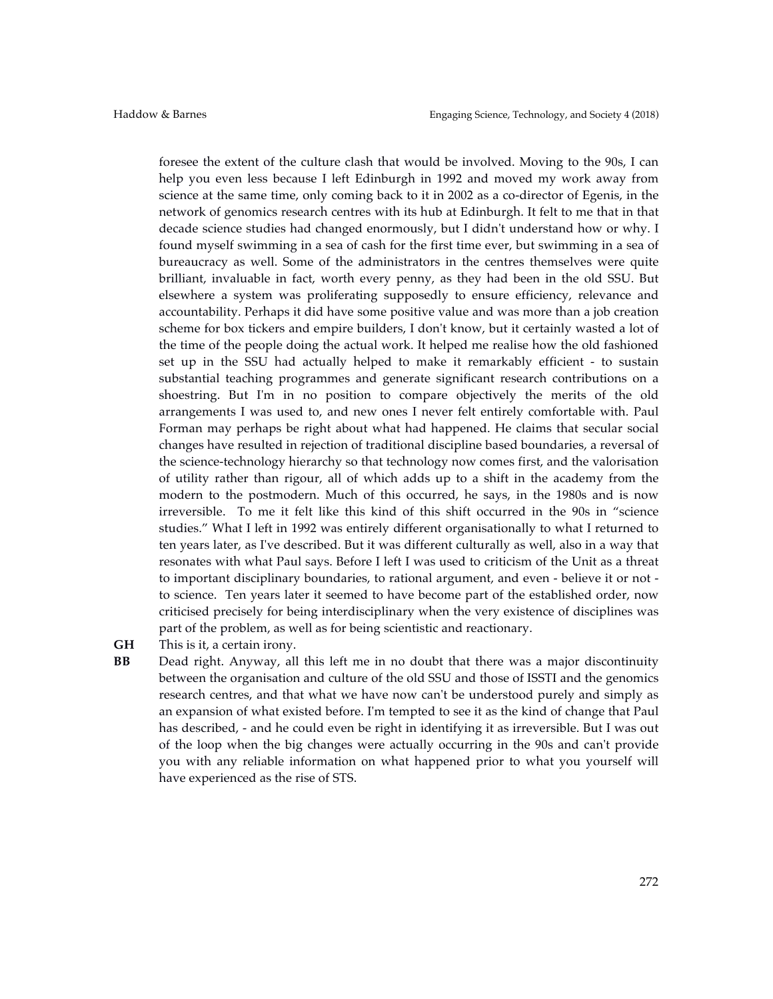foresee the extent of the culture clash that would be involved. Moving to the 90s, I can help you even less because I left Edinburgh in 1992 and moved my work away from science at the same time, only coming back to it in 2002 as a co-director of Egenis, in the network of genomics research centres with its hub at Edinburgh. It felt to me that in that decade science studies had changed enormously, but I didn't understand how or why. I found myself swimming in a sea of cash for the first time ever, but swimming in a sea of bureaucracy as well. Some of the administrators in the centres themselves were quite brilliant, invaluable in fact, worth every penny, as they had been in the old SSU. But elsewhere a system was proliferating supposedly to ensure efficiency, relevance and accountability. Perhaps it did have some positive value and was more than a job creation scheme for box tickers and empire builders, I don't know, but it certainly wasted a lot of the time of the people doing the actual work. It helped me realise how the old fashioned set up in the SSU had actually helped to make it remarkably efficient - to sustain substantial teaching programmes and generate significant research contributions on a shoestring. But I'm in no position to compare objectively the merits of the old arrangements I was used to, and new ones I never felt entirely comfortable with. Paul Forman may perhaps be right about what had happened. He claims that secular social changes have resulted in rejection of traditional discipline based boundaries, a reversal of the science-technology hierarchy so that technology now comes first, and the valorisation of utility rather than rigour, all of which adds up to a shift in the academy from the modern to the postmodern. Much of this occurred, he says, in the 1980s and is now irreversible. To me it felt like this kind of this shift occurred in the 90s in "science studies." What I left in 1992 was entirely different organisationally to what I returned to ten years later, as I've described. But it was different culturally as well, also in a way that resonates with what Paul says. Before I left I was used to criticism of the Unit as a threat to important disciplinary boundaries, to rational argument, and even - believe it or not to science. Ten years later it seemed to have become part of the established order, now criticised precisely for being interdisciplinary when the very existence of disciplines was part of the problem, as well as for being scientistic and reactionary.

**GH** This is it, a certain irony.

**BB** Dead right. Anyway, all this left me in no doubt that there was a major discontinuity between the organisation and culture of the old SSU and those of ISSTI and the genomics research centres, and that what we have now can't be understood purely and simply as an expansion of what existed before. I'm tempted to see it as the kind of change that Paul has described, - and he could even be right in identifying it as irreversible. But I was out of the loop when the big changes were actually occurring in the 90s and can't provide you with any reliable information on what happened prior to what you yourself will have experienced as the rise of STS.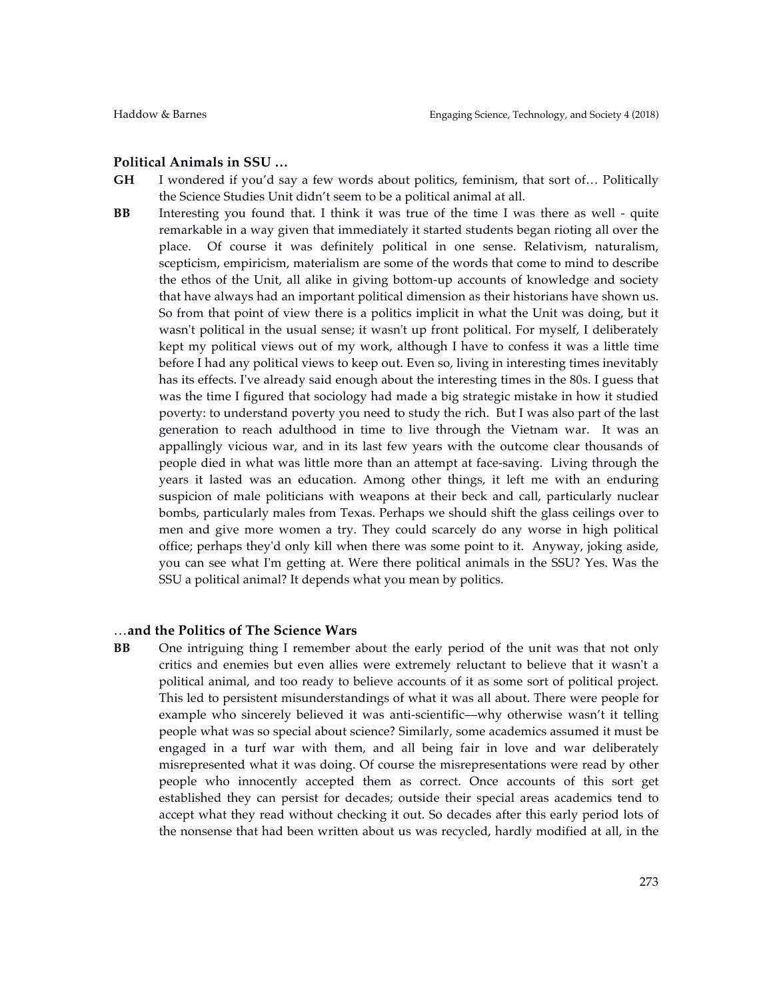#### **Political Animals in SSU …**

- **GH** I wondered if you'd say a few words about politics, feminism, that sort of… Politically the Science Studies Unit didn't seem to be a political animal at all.
- **BB** Interesting you found that. I think it was true of the time I was there as well quite remarkable in a way given that immediately it started students began rioting all over the place. Of course it was definitely political in one sense. Relativism, naturalism, scepticism, empiricism, materialism are some of the words that come to mind to describe the ethos of the Unit, all alike in giving bottom-up accounts of knowledge and society that have always had an important political dimension as their historians have shown us. So from that point of view there is a politics implicit in what the Unit was doing, but it wasn't political in the usual sense; it wasn't up front political. For myself, I deliberately kept my political views out of my work, although I have to confess it was a little time before I had any political views to keep out. Even so, living in interesting times inevitably has its effects. I've already said enough about the interesting times in the 80s. I guess that was the time I figured that sociology had made a big strategic mistake in how it studied poverty: to understand poverty you need to study the rich. But I was also part of the last generation to reach adulthood in time to live through the Vietnam war. It was an appallingly vicious war, and in its last few years with the outcome clear thousands of people died in what was little more than an attempt at face-saving. Living through the years it lasted was an education. Among other things, it left me with an enduring suspicion of male politicians with weapons at their beck and call, particularly nuclear bombs, particularly males from Texas. Perhaps we should shift the glass ceilings over to men and give more women a try. They could scarcely do any worse in high political office; perhaps they'd only kill when there was some point to it. Anyway, joking aside, you can see what I'm getting at. Were there political animals in the SSU? Yes. Was the SSU a political animal? It depends what you mean by politics.

#### …**and the Politics of The Science Wars**

**BB** One intriguing thing I remember about the early period of the unit was that not only critics and enemies but even allies were extremely reluctant to believe that it wasn't a political animal, and too ready to believe accounts of it as some sort of political project. This led to persistent misunderstandings of what it was all about. There were people for example who sincerely believed it was anti-scientific—why otherwise wasn't it telling people what was so special about science? Similarly, some academics assumed it must be engaged in a turf war with them, and all being fair in love and war deliberately misrepresented what it was doing. Of course the misrepresentations were read by other people who innocently accepted them as correct. Once accounts of this sort get established they can persist for decades; outside their special areas academics tend to accept what they read without checking it out. So decades after this early period lots of the nonsense that had been written about us was recycled, hardly modified at all, in the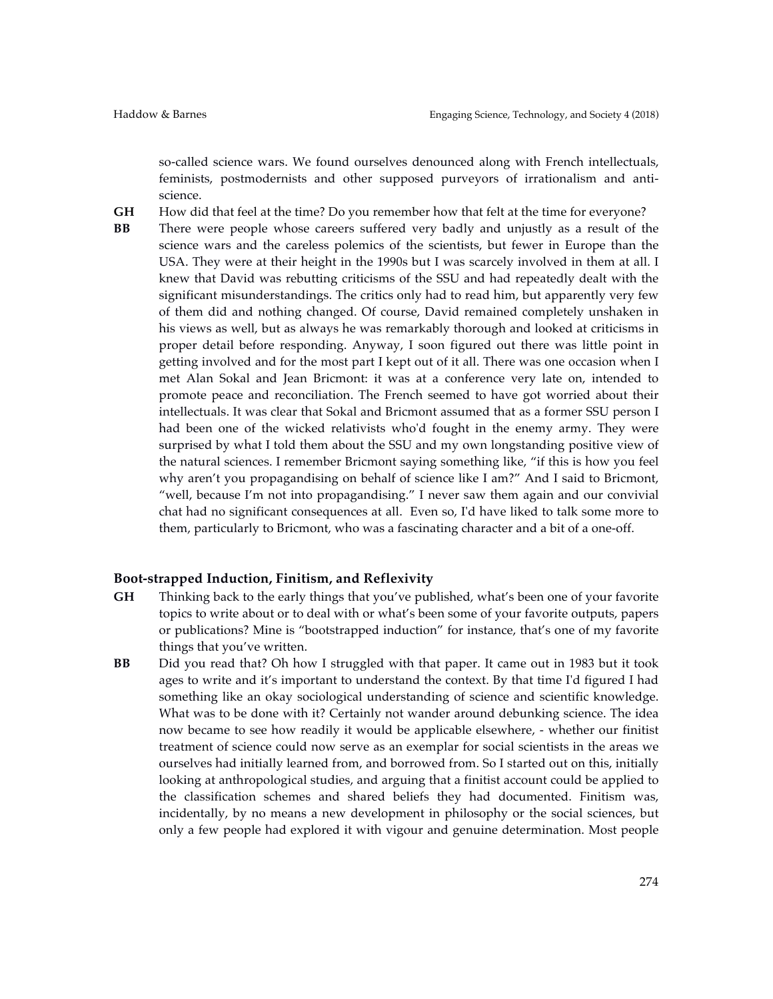so-called science wars. We found ourselves denounced along with French intellectuals, feminists, postmodernists and other supposed purveyors of irrationalism and antiscience.

- **GH** How did that feel at the time? Do you remember how that felt at the time for everyone?
- **BB** There were people whose careers suffered very badly and unjustly as a result of the science wars and the careless polemics of the scientists, but fewer in Europe than the USA. They were at their height in the 1990s but I was scarcely involved in them at all. I knew that David was rebutting criticisms of the SSU and had repeatedly dealt with the significant misunderstandings. The critics only had to read him, but apparently very few of them did and nothing changed. Of course, David remained completely unshaken in his views as well, but as always he was remarkably thorough and looked at criticisms in proper detail before responding. Anyway, I soon figured out there was little point in getting involved and for the most part I kept out of it all. There was one occasion when I met Alan Sokal and Jean Bricmont: it was at a conference very late on, intended to promote peace and reconciliation. The French seemed to have got worried about their intellectuals. It was clear that Sokal and Bricmont assumed that as a former SSU person I had been one of the wicked relativists who'd fought in the enemy army. They were surprised by what I told them about the SSU and my own longstanding positive view of the natural sciences. I remember Bricmont saying something like, "if this is how you feel why aren't you propagandising on behalf of science like I am?" And I said to Bricmont, "well, because I'm not into propagandising." I never saw them again and our convivial chat had no significant consequences at all. Even so, I'd have liked to talk some more to them, particularly to Bricmont, who was a fascinating character and a bit of a one-off.

#### **Boot-strapped Induction, Finitism, and Reflexivity**

- **GH** Thinking back to the early things that you've published, what's been one of your favorite topics to write about or to deal with or what's been some of your favorite outputs, papers or publications? Mine is "bootstrapped induction" for instance, that's one of my favorite things that you've written.
- **BB** Did you read that? Oh how I struggled with that paper. It came out in 1983 but it took ages to write and it's important to understand the context. By that time I'd figured I had something like an okay sociological understanding of science and scientific knowledge. What was to be done with it? Certainly not wander around debunking science. The idea now became to see how readily it would be applicable elsewhere, - whether our finitist treatment of science could now serve as an exemplar for social scientists in the areas we ourselves had initially learned from, and borrowed from. So I started out on this, initially looking at anthropological studies, and arguing that a finitist account could be applied to the classification schemes and shared beliefs they had documented. Finitism was, incidentally, by no means a new development in philosophy or the social sciences, but only a few people had explored it with vigour and genuine determination. Most people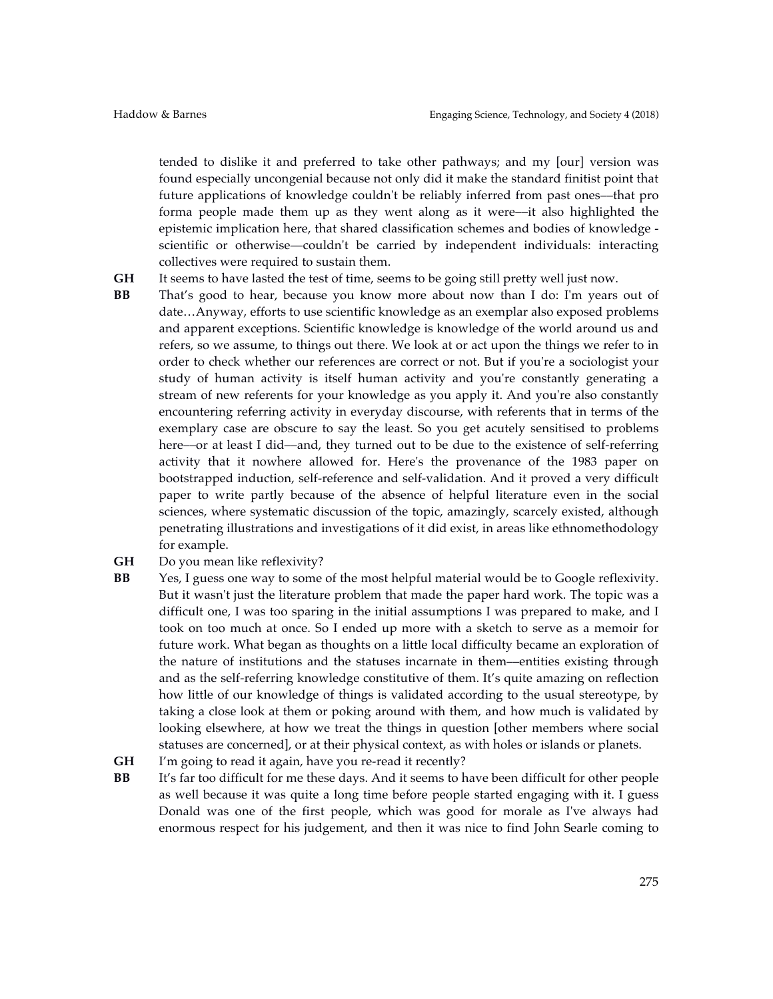tended to dislike it and preferred to take other pathways; and my [our] version was found especially uncongenial because not only did it make the standard finitist point that future applications of knowledge couldn't be reliably inferred from past ones––that pro forma people made them up as they went along as it were––it also highlighted the epistemic implication here, that shared classification schemes and bodies of knowledge scientific or otherwise––couldn't be carried by independent individuals: interacting collectives were required to sustain them.

- **GH** It seems to have lasted the test of time, seems to be going still pretty well just now.
- **BB** That's good to hear, because you know more about now than I do: I'm years out of date…Anyway, efforts to use scientific knowledge as an exemplar also exposed problems and apparent exceptions. Scientific knowledge is knowledge of the world around us and refers, so we assume, to things out there. We look at or act upon the things we refer to in order to check whether our references are correct or not. But if you're a sociologist your study of human activity is itself human activity and you're constantly generating a stream of new referents for your knowledge as you apply it. And you're also constantly encountering referring activity in everyday discourse, with referents that in terms of the exemplary case are obscure to say the least. So you get acutely sensitised to problems here––or at least I did––and, they turned out to be due to the existence of self-referring activity that it nowhere allowed for. Here's the provenance of the 1983 paper on bootstrapped induction, self-reference and self-validation. And it proved a very difficult paper to write partly because of the absence of helpful literature even in the social sciences, where systematic discussion of the topic, amazingly, scarcely existed, although penetrating illustrations and investigations of it did exist, in areas like ethnomethodology for example.
- **GH** Do you mean like reflexivity?
- **BB** Yes, I guess one way to some of the most helpful material would be to Google reflexivity. But it wasn't just the literature problem that made the paper hard work. The topic was a difficult one, I was too sparing in the initial assumptions I was prepared to make, and I took on too much at once. So I ended up more with a sketch to serve as a memoir for future work. What began as thoughts on a little local difficulty became an exploration of the nature of institutions and the statuses incarnate in them––entities existing through and as the self-referring knowledge constitutive of them. It's quite amazing on reflection how little of our knowledge of things is validated according to the usual stereotype, by taking a close look at them or poking around with them, and how much is validated by looking elsewhere, at how we treat the things in question [other members where social statuses are concerned], or at their physical context, as with holes or islands or planets.
- **GH** I'm going to read it again, have you re-read it recently?
- **BB** It's far too difficult for me these days. And it seems to have been difficult for other people as well because it was quite a long time before people started engaging with it. I guess Donald was one of the first people, which was good for morale as I've always had enormous respect for his judgement, and then it was nice to find John Searle coming to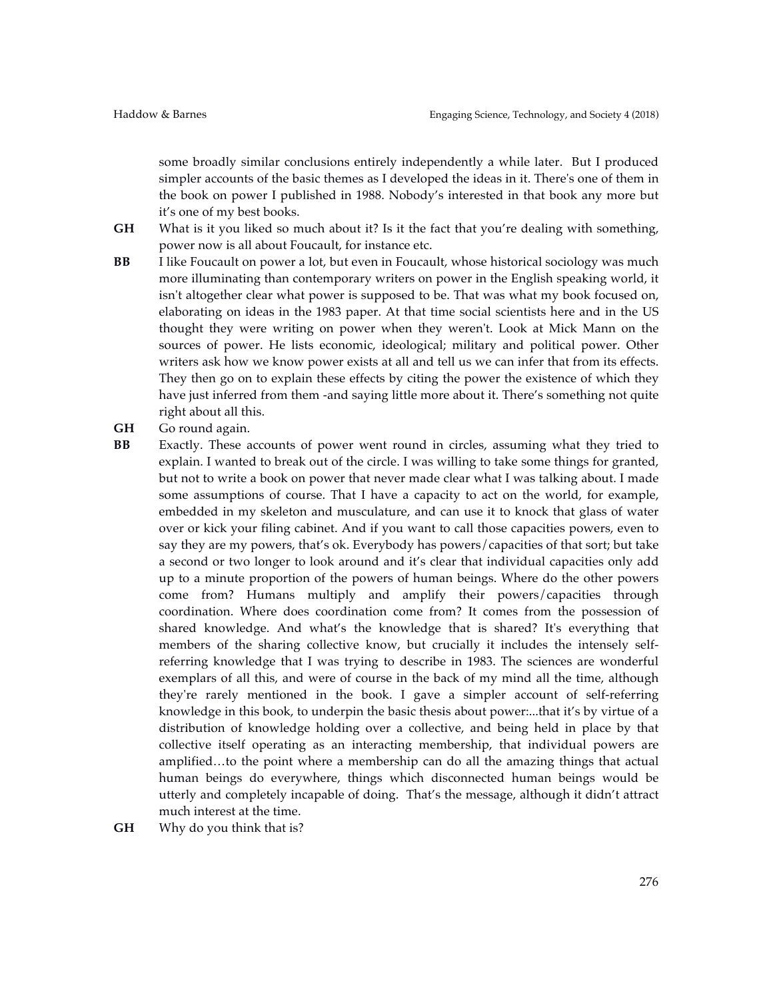some broadly similar conclusions entirely independently a while later. But I produced simpler accounts of the basic themes as I developed the ideas in it. There's one of them in the book on power I published in 1988. Nobody's interested in that book any more but it's one of my best books.

**GH** What is it you liked so much about it? Is it the fact that you're dealing with something, power now is all about Foucault, for instance etc.

- **BB** I like Foucault on power a lot, but even in Foucault, whose historical sociology was much more illuminating than contemporary writers on power in the English speaking world, it isn't altogether clear what power is supposed to be. That was what my book focused on, elaborating on ideas in the 1983 paper. At that time social scientists here and in the US thought they were writing on power when they weren't. Look at Mick Mann on the sources of power. He lists economic, ideological; military and political power. Other writers ask how we know power exists at all and tell us we can infer that from its effects. They then go on to explain these effects by citing the power the existence of which they have just inferred from them -and saying little more about it. There's something not quite right about all this.
- **GH** Go round again.
- **BB** Exactly. These accounts of power went round in circles, assuming what they tried to explain. I wanted to break out of the circle. I was willing to take some things for granted, but not to write a book on power that never made clear what I was talking about. I made some assumptions of course. That I have a capacity to act on the world, for example, embedded in my skeleton and musculature, and can use it to knock that glass of water over or kick your filing cabinet. And if you want to call those capacities powers, even to say they are my powers, that's ok. Everybody has powers/capacities of that sort; but take a second or two longer to look around and it's clear that individual capacities only add up to a minute proportion of the powers of human beings. Where do the other powers come from? Humans multiply and amplify their powers/capacities through coordination. Where does coordination come from? It comes from the possession of shared knowledge. And what's the knowledge that is shared? It's everything that members of the sharing collective know, but crucially it includes the intensely selfreferring knowledge that I was trying to describe in 1983. The sciences are wonderful exemplars of all this, and were of course in the back of my mind all the time, although they're rarely mentioned in the book. I gave a simpler account of self-referring knowledge in this book, to underpin the basic thesis about power:...that it's by virtue of a distribution of knowledge holding over a collective, and being held in place by that collective itself operating as an interacting membership, that individual powers are amplified…to the point where a membership can do all the amazing things that actual human beings do everywhere, things which disconnected human beings would be utterly and completely incapable of doing. That's the message, although it didn't attract much interest at the time.
- **GH** Why do you think that is?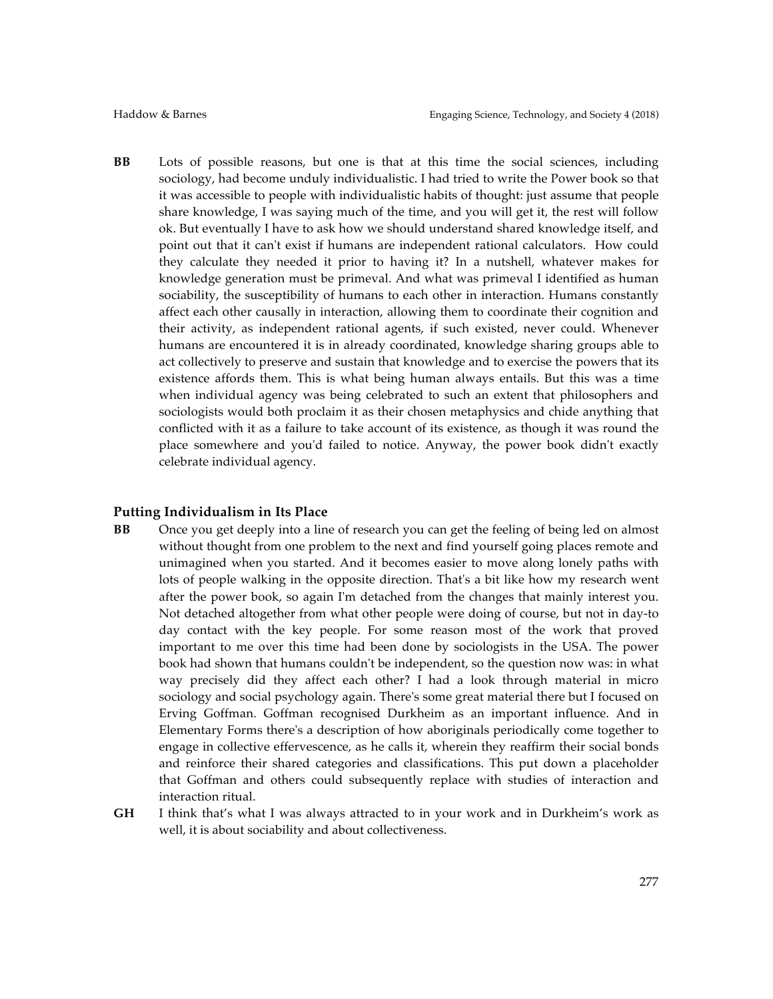**BB** Lots of possible reasons, but one is that at this time the social sciences, including sociology, had become unduly individualistic. I had tried to write the Power book so that it was accessible to people with individualistic habits of thought: just assume that people share knowledge, I was saying much of the time, and you will get it, the rest will follow ok. But eventually I have to ask how we should understand shared knowledge itself, and point out that it can't exist if humans are independent rational calculators. How could they calculate they needed it prior to having it? In a nutshell, whatever makes for knowledge generation must be primeval. And what was primeval I identified as human sociability, the susceptibility of humans to each other in interaction. Humans constantly affect each other causally in interaction, allowing them to coordinate their cognition and their activity, as independent rational agents, if such existed, never could. Whenever humans are encountered it is in already coordinated, knowledge sharing groups able to act collectively to preserve and sustain that knowledge and to exercise the powers that its existence affords them. This is what being human always entails. But this was a time when individual agency was being celebrated to such an extent that philosophers and sociologists would both proclaim it as their chosen metaphysics and chide anything that conflicted with it as a failure to take account of its existence, as though it was round the place somewhere and you'd failed to notice. Anyway, the power book didn't exactly celebrate individual agency.

## **Putting Individualism in Its Place**

- **BB** Once you get deeply into a line of research you can get the feeling of being led on almost without thought from one problem to the next and find yourself going places remote and unimagined when you started. And it becomes easier to move along lonely paths with lots of people walking in the opposite direction. That's a bit like how my research went after the power book, so again I'm detached from the changes that mainly interest you. Not detached altogether from what other people were doing of course, but not in day-to day contact with the key people. For some reason most of the work that proved important to me over this time had been done by sociologists in the USA. The power book had shown that humans couldn't be independent, so the question now was: in what way precisely did they affect each other? I had a look through material in micro sociology and social psychology again. There's some great material there but I focused on Erving Goffman. Goffman recognised Durkheim as an important influence. And in Elementary Forms there's a description of how aboriginals periodically come together to engage in collective effervescence, as he calls it, wherein they reaffirm their social bonds and reinforce their shared categories and classifications. This put down a placeholder that Goffman and others could subsequently replace with studies of interaction and interaction ritual.
- **GH** I think that's what I was always attracted to in your work and in Durkheim's work as well, it is about sociability and about collectiveness.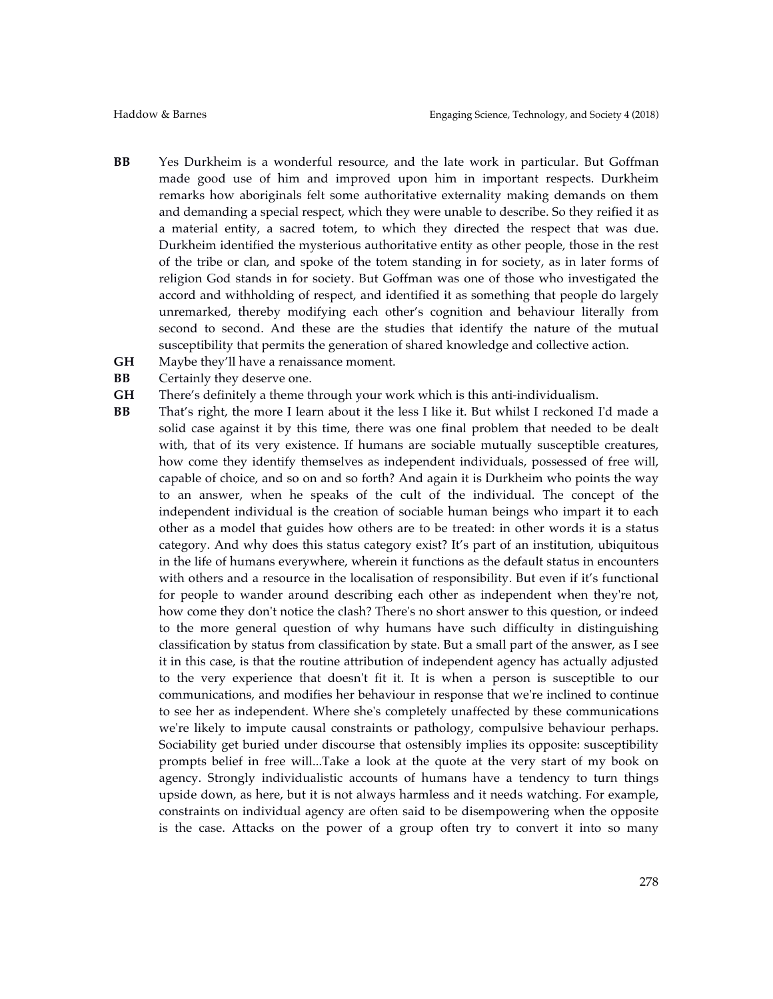- **BB** Yes Durkheim is a wonderful resource, and the late work in particular. But Goffman made good use of him and improved upon him in important respects. Durkheim remarks how aboriginals felt some authoritative externality making demands on them and demanding a special respect, which they were unable to describe. So they reified it as a material entity, a sacred totem, to which they directed the respect that was due. Durkheim identified the mysterious authoritative entity as other people, those in the rest of the tribe or clan, and spoke of the totem standing in for society, as in later forms of religion God stands in for society. But Goffman was one of those who investigated the accord and withholding of respect, and identified it as something that people do largely unremarked, thereby modifying each other's cognition and behaviour literally from second to second. And these are the studies that identify the nature of the mutual susceptibility that permits the generation of shared knowledge and collective action.
- **GH** Maybe they'll have a renaissance moment.
- **BB** Certainly they deserve one.
- **GH** There's definitely a theme through your work which is this anti-individualism.
- **BB** That's right, the more I learn about it the less I like it. But whilst I reckoned I'd made a solid case against it by this time, there was one final problem that needed to be dealt with, that of its very existence. If humans are sociable mutually susceptible creatures, how come they identify themselves as independent individuals, possessed of free will, capable of choice, and so on and so forth? And again it is Durkheim who points the way to an answer, when he speaks of the cult of the individual. The concept of the independent individual is the creation of sociable human beings who impart it to each other as a model that guides how others are to be treated: in other words it is a status category. And why does this status category exist? It's part of an institution, ubiquitous in the life of humans everywhere, wherein it functions as the default status in encounters with others and a resource in the localisation of responsibility. But even if it's functional for people to wander around describing each other as independent when they're not, how come they don't notice the clash? There's no short answer to this question, or indeed to the more general question of why humans have such difficulty in distinguishing classification by status from classification by state. But a small part of the answer, as I see it in this case, is that the routine attribution of independent agency has actually adjusted to the very experience that doesn't fit it. It is when a person is susceptible to our communications, and modifies her behaviour in response that we're inclined to continue to see her as independent. Where she's completely unaffected by these communications we're likely to impute causal constraints or pathology, compulsive behaviour perhaps. Sociability get buried under discourse that ostensibly implies its opposite: susceptibility prompts belief in free will...Take a look at the quote at the very start of my book on agency. Strongly individualistic accounts of humans have a tendency to turn things upside down, as here, but it is not always harmless and it needs watching. For example, constraints on individual agency are often said to be disempowering when the opposite is the case. Attacks on the power of a group often try to convert it into so many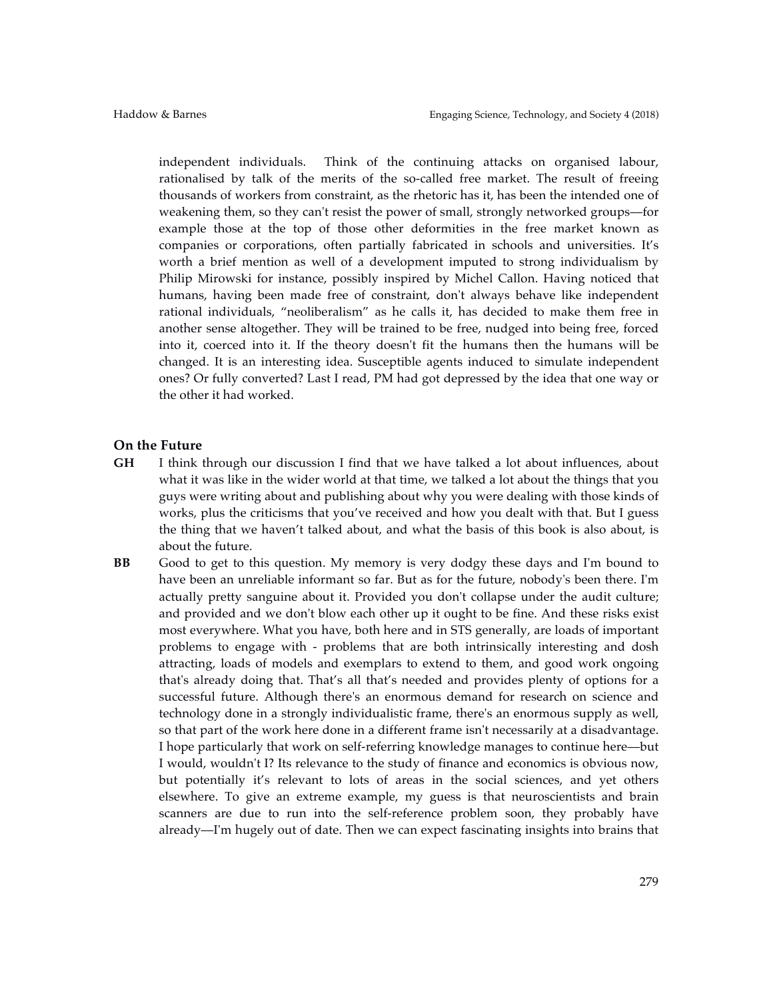independent individuals. Think of the continuing attacks on organised labour, rationalised by talk of the merits of the so-called free market. The result of freeing thousands of workers from constraint, as the rhetoric has it, has been the intended one of weakening them, so they can't resist the power of small, strongly networked groups––for example those at the top of those other deformities in the free market known as companies or corporations, often partially fabricated in schools and universities. It's worth a brief mention as well of a development imputed to strong individualism by Philip Mirowski for instance, possibly inspired by Michel Callon. Having noticed that humans, having been made free of constraint, don't always behave like independent rational individuals, "neoliberalism" as he calls it, has decided to make them free in another sense altogether. They will be trained to be free, nudged into being free, forced into it, coerced into it. If the theory doesn't fit the humans then the humans will be changed. It is an interesting idea. Susceptible agents induced to simulate independent ones? Or fully converted? Last I read, PM had got depressed by the idea that one way or the other it had worked.

#### **On the Future**

- **GH** I think through our discussion I find that we have talked a lot about influences, about what it was like in the wider world at that time, we talked a lot about the things that you guys were writing about and publishing about why you were dealing with those kinds of works, plus the criticisms that you've received and how you dealt with that. But I guess the thing that we haven't talked about, and what the basis of this book is also about, is about the future.
- **BB** Good to get to this question. My memory is very dodgy these days and I'm bound to have been an unreliable informant so far. But as for the future, nobody's been there. I'm actually pretty sanguine about it. Provided you don't collapse under the audit culture; and provided and we don't blow each other up it ought to be fine. And these risks exist most everywhere. What you have, both here and in STS generally, are loads of important problems to engage with - problems that are both intrinsically interesting and dosh attracting, loads of models and exemplars to extend to them, and good work ongoing that's already doing that. That's all that's needed and provides plenty of options for a successful future. Although there's an enormous demand for research on science and technology done in a strongly individualistic frame, there's an enormous supply as well, so that part of the work here done in a different frame isn't necessarily at a disadvantage. I hope particularly that work on self-referring knowledge manages to continue here––but I would, wouldn't I? Its relevance to the study of finance and economics is obvious now, but potentially it's relevant to lots of areas in the social sciences, and yet others elsewhere. To give an extreme example, my guess is that neuroscientists and brain scanners are due to run into the self-reference problem soon, they probably have already––I'm hugely out of date. Then we can expect fascinating insights into brains that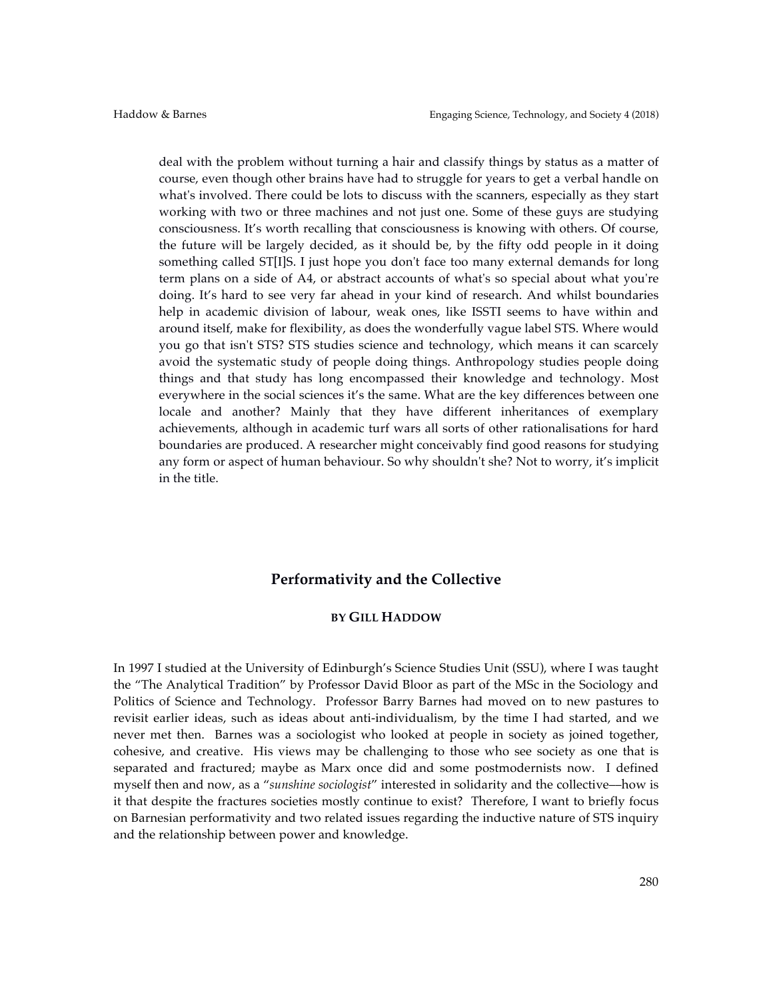deal with the problem without turning a hair and classify things by status as a matter of course, even though other brains have had to struggle for years to get a verbal handle on what's involved. There could be lots to discuss with the scanners, especially as they start working with two or three machines and not just one. Some of these guys are studying consciousness. It's worth recalling that consciousness is knowing with others. Of course, the future will be largely decided, as it should be, by the fifty odd people in it doing something called ST[I]S. I just hope you don't face too many external demands for long term plans on a side of A4, or abstract accounts of what's so special about what you're doing. It's hard to see very far ahead in your kind of research. And whilst boundaries help in academic division of labour, weak ones, like ISSTI seems to have within and around itself, make for flexibility, as does the wonderfully vague label STS. Where would you go that isn't STS? STS studies science and technology, which means it can scarcely avoid the systematic study of people doing things. Anthropology studies people doing things and that study has long encompassed their knowledge and technology. Most everywhere in the social sciences it's the same. What are the key differences between one locale and another? Mainly that they have different inheritances of exemplary achievements, although in academic turf wars all sorts of other rationalisations for hard boundaries are produced. A researcher might conceivably find good reasons for studying any form or aspect of human behaviour. So why shouldn't she? Not to worry, it's implicit in the title.

# **Performativity and the Collective**

# **BY GILL HADDOW**

In 1997 I studied at the University of Edinburgh's Science Studies Unit (SSU), where I was taught the "The Analytical Tradition" by Professor David Bloor as part of the MSc in the Sociology and Politics of Science and Technology. Professor Barry Barnes had moved on to new pastures to revisit earlier ideas, such as ideas about anti-individualism, by the time I had started, and we never met then. Barnes was a sociologist who looked at people in society as joined together, cohesive, and creative. His views may be challenging to those who see society as one that is separated and fractured; maybe as Marx once did and some postmodernists now. I defined myself then and now, as a "*sunshine sociologist*" interested in solidarity and the collective––how is it that despite the fractures societies mostly continue to exist? Therefore, I want to briefly focus on Barnesian performativity and two related issues regarding the inductive nature of STS inquiry and the relationship between power and knowledge.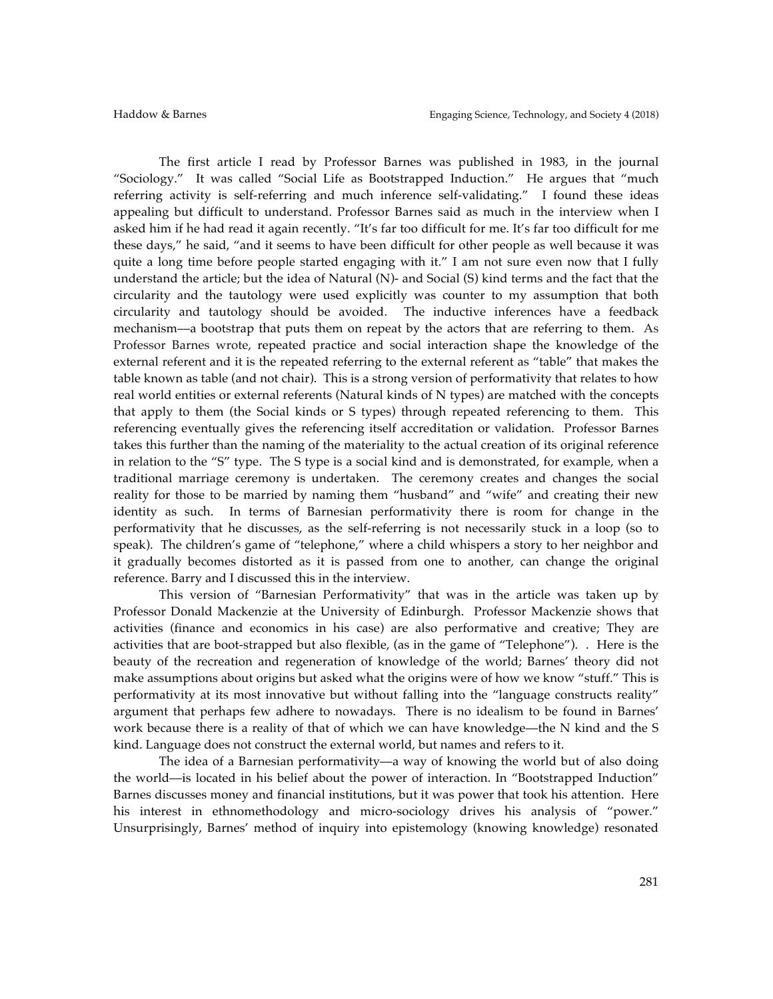The first article I read by Professor Barnes was published in 1983, in the journal "Sociology." It was called "Social Life as Bootstrapped Induction." He argues that "much referring activity is self-referring and much inference self-validating." I found these ideas appealing but difficult to understand. Professor Barnes said as much in the interview when I asked him if he had read it again recently. "It's far too difficult for me. It's far too difficult for me these days," he said, "and it seems to have been difficult for other people as well because it was quite a long time before people started engaging with it." I am not sure even now that I fully understand the article; but the idea of Natural (N)- and Social (S) kind terms and the fact that the circularity and the tautology were used explicitly was counter to my assumption that both circularity and tautology should be avoided. The inductive inferences have a feedback mechanism––a bootstrap that puts them on repeat by the actors that are referring to them. As Professor Barnes wrote, repeated practice and social interaction shape the knowledge of the external referent and it is the repeated referring to the external referent as "table" that makes the table known as table (and not chair). This is a strong version of performativity that relates to how real world entities or external referents (Natural kinds of N types) are matched with the concepts that apply to them (the Social kinds or S types) through repeated referencing to them. This referencing eventually gives the referencing itself accreditation or validation. Professor Barnes takes this further than the naming of the materiality to the actual creation of its original reference in relation to the "S" type. The S type is a social kind and is demonstrated, for example, when a traditional marriage ceremony is undertaken. The ceremony creates and changes the social reality for those to be married by naming them "husband" and "wife" and creating their new identity as such. In terms of Barnesian performativity there is room for change in the performativity that he discusses, as the self-referring is not necessarily stuck in a loop (so to speak). The children's game of "telephone," where a child whispers a story to her neighbor and it gradually becomes distorted as it is passed from one to another, can change the original reference. Barry and I discussed this in the interview.

This version of "Barnesian Performativity" that was in the article was taken up by Professor Donald Mackenzie at the University of Edinburgh. Professor Mackenzie shows that activities (finance and economics in his case) are also performative and creative; They are activities that are boot-strapped but also flexible, (as in the game of "Telephone"). . Here is the beauty of the recreation and regeneration of knowledge of the world; Barnes' theory did not make assumptions about origins but asked what the origins were of how we know "stuff." This is performativity at its most innovative but without falling into the "language constructs reality" argument that perhaps few adhere to nowadays. There is no idealism to be found in Barnes' work because there is a reality of that of which we can have knowledge—the N kind and the S kind. Language does not construct the external world, but names and refers to it.

The idea of a Barnesian performativity––a way of knowing the world but of also doing the world––is located in his belief about the power of interaction. In "Bootstrapped Induction" Barnes discusses money and financial institutions, but it was power that took his attention. Here his interest in ethnomethodology and micro-sociology drives his analysis of "power." Unsurprisingly, Barnes' method of inquiry into epistemology (knowing knowledge) resonated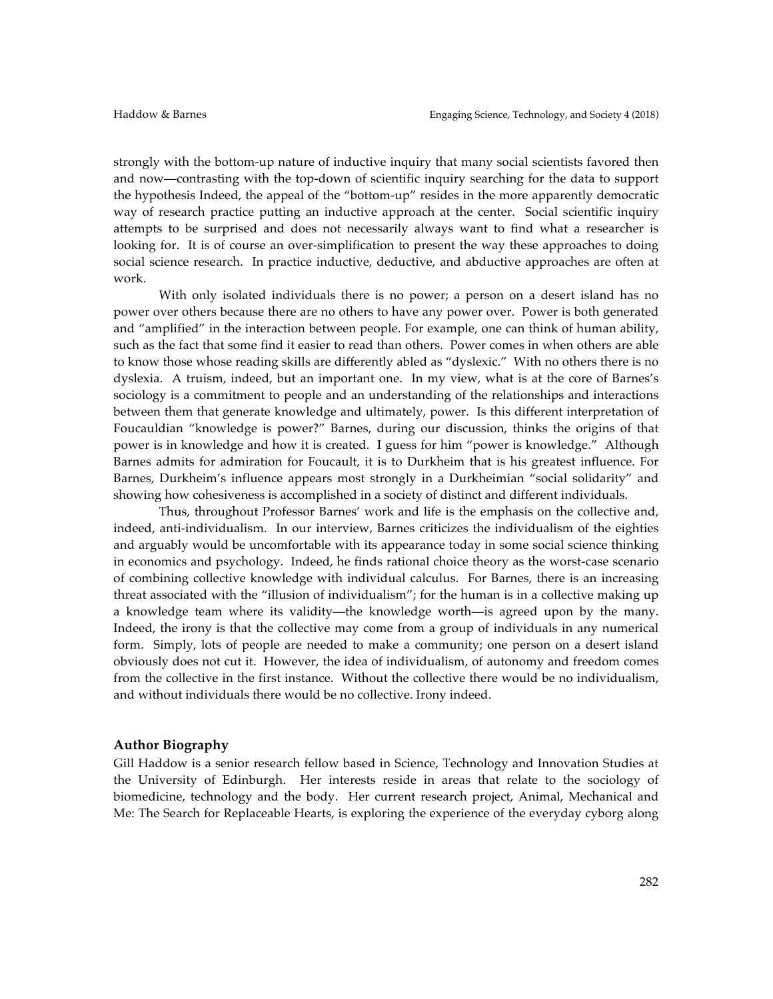strongly with the bottom-up nature of inductive inquiry that many social scientists favored then and now––contrasting with the top-down of scientific inquiry searching for the data to support the hypothesis Indeed, the appeal of the "bottom-up" resides in the more apparently democratic way of research practice putting an inductive approach at the center. Social scientific inquiry attempts to be surprised and does not necessarily always want to find what a researcher is looking for. It is of course an over-simplification to present the way these approaches to doing social science research. In practice inductive, deductive, and abductive approaches are often at work.

With only isolated individuals there is no power; a person on a desert island has no power over others because there are no others to have any power over. Power is both generated and "amplified" in the interaction between people. For example, one can think of human ability, such as the fact that some find it easier to read than others. Power comes in when others are able to know those whose reading skills are differently abled as "dyslexic." With no others there is no dyslexia. A truism, indeed, but an important one. In my view, what is at the core of Barnes's sociology is a commitment to people and an understanding of the relationships and interactions between them that generate knowledge and ultimately, power. Is this different interpretation of Foucauldian "knowledge is power?" Barnes, during our discussion, thinks the origins of that power is in knowledge and how it is created. I guess for him "power is knowledge." Although Barnes admits for admiration for Foucault, it is to Durkheim that is his greatest influence. For Barnes, Durkheim's influence appears most strongly in a Durkheimian "social solidarity" and showing how cohesiveness is accomplished in a society of distinct and different individuals.

Thus, throughout Professor Barnes' work and life is the emphasis on the collective and, indeed, anti-individualism. In our interview, Barnes criticizes the individualism of the eighties and arguably would be uncomfortable with its appearance today in some social science thinking in economics and psychology. Indeed, he finds rational choice theory as the worst-case scenario of combining collective knowledge with individual calculus. For Barnes, there is an increasing threat associated with the "illusion of individualism"; for the human is in a collective making up a knowledge team where its validity––the knowledge worth––is agreed upon by the many. Indeed, the irony is that the collective may come from a group of individuals in any numerical form. Simply, lots of people are needed to make a community; one person on a desert island obviously does not cut it. However, the idea of individualism, of autonomy and freedom comes from the collective in the first instance. Without the collective there would be no individualism, and without individuals there would be no collective. Irony indeed.

#### **Author Biography**

Gill Haddow is a senior research fellow based in Science, Technology and Innovation Studies at the University of Edinburgh. Her interests reside in areas that relate to the sociology of biomedicine, technology and the body. Her current research project, Animal, Mechanical and Me: The Search for Replaceable Hearts, is exploring the experience of the everyday cyborg along